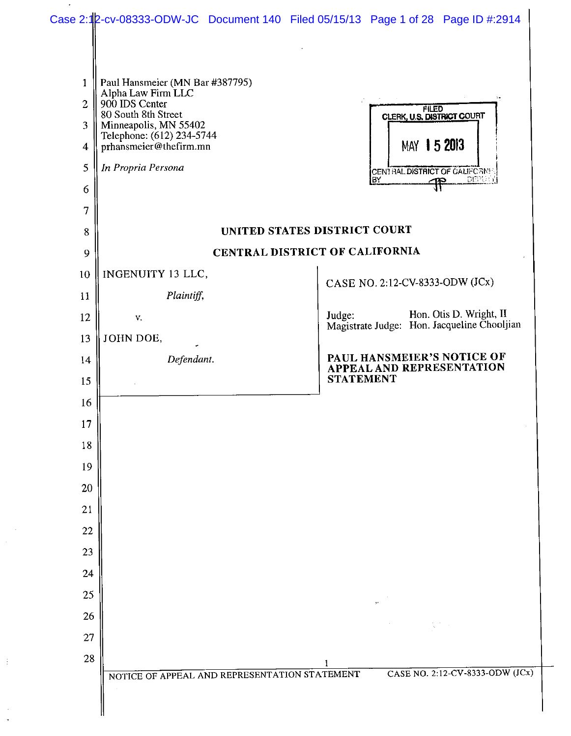| $\mathbf{1}$<br>$\overline{2}$<br>3<br>4 | Paul Hansmeier (MN Bar #387795)<br>Alpha Law Firm LLC<br>900 IDS Center<br>80 South 8th Street<br>Minneapolis, MN 55402<br>Telephone: (612) 234-5744<br>prhansmeier@thefirm.mn | <b>FILED<br/>CLERK, U.S. DISTRICT COURT</b><br>MAY 15 2013                       |
|------------------------------------------|--------------------------------------------------------------------------------------------------------------------------------------------------------------------------------|----------------------------------------------------------------------------------|
| 5                                        | In Propria Persona                                                                                                                                                             | CENTRAL DISTRICT OF CALIFORNIA<br>DEPU Y<br>lвY<br>—ዋዋ                           |
| 6<br>7                                   |                                                                                                                                                                                |                                                                                  |
| 8                                        |                                                                                                                                                                                | UNITED STATES DISTRICT COURT                                                     |
| 9                                        |                                                                                                                                                                                | CENTRAL DISTRICT OF CALIFORNIA                                                   |
| 10                                       | INGENUITY 13 LLC,                                                                                                                                                              |                                                                                  |
| 11                                       | Plaintiff,                                                                                                                                                                     | CASE NO. 2:12-CV-8333-ODW (JCx)                                                  |
| 12                                       | V.                                                                                                                                                                             | Hon. Otis D. Wright, II<br>Judge.<br>Magistrate Judge: Hon. Jacqueline Chooljian |
| 13                                       | JOHN DOE,                                                                                                                                                                      |                                                                                  |
| 14                                       | Defendant.                                                                                                                                                                     | PAUL HANSMEIER'S NOTICE OF<br><b>APPEAL AND REPRESENTATION</b>                   |
| 15                                       |                                                                                                                                                                                | <b>STATEMENT</b>                                                                 |
| 16                                       |                                                                                                                                                                                |                                                                                  |
| 17                                       |                                                                                                                                                                                |                                                                                  |
| 18                                       |                                                                                                                                                                                |                                                                                  |
| 19                                       |                                                                                                                                                                                |                                                                                  |
| 20<br>21                                 |                                                                                                                                                                                |                                                                                  |
| $22\,$                                   |                                                                                                                                                                                |                                                                                  |
| 23                                       |                                                                                                                                                                                |                                                                                  |
| 24                                       |                                                                                                                                                                                |                                                                                  |
| 25                                       |                                                                                                                                                                                |                                                                                  |
| 26                                       |                                                                                                                                                                                |                                                                                  |
| 27                                       |                                                                                                                                                                                |                                                                                  |
| 28                                       |                                                                                                                                                                                |                                                                                  |

 $\frac{1}{2}$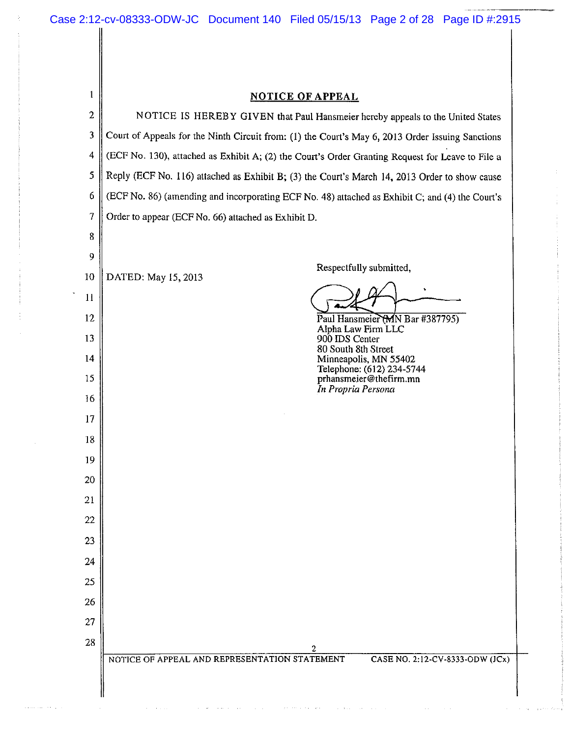| $\mathbf{1}$   | <b>NOTICE OF APPEAL</b>                                                                          |  |  |  |  |
|----------------|--------------------------------------------------------------------------------------------------|--|--|--|--|
| $\overline{2}$ | NOTICE IS HEREBY GIVEN that Paul Hansmeier hereby appeals to the United States                   |  |  |  |  |
| 3              | Court of Appeals for the Ninth Circuit from: (1) the Court's May 6, 2013 Order Issuing Sanctions |  |  |  |  |
| $\overline{4}$ | (ECF No. 130), attached as Exhibit A; (2) the Court's Order Granting Request for Leave to File a |  |  |  |  |
| 5              | Reply (ECF No. 116) attached as Exhibit B; (3) the Court's March 14, 2013 Order to show cause    |  |  |  |  |
| 6              | (ECF No. 86) (amending and incorporating ECF No. 48) attached as Exhibit C; and (4) the Court's  |  |  |  |  |
| 7              | Order to appear (ECF No. 66) attached as Exhibit D.                                              |  |  |  |  |
| 8              |                                                                                                  |  |  |  |  |
| 9              |                                                                                                  |  |  |  |  |
| 10             | Respectfully submitted,<br>DATED: May 15, 2013                                                   |  |  |  |  |
| $\mathbf{1}$   |                                                                                                  |  |  |  |  |
| 12             | Paul Hansmeier (MN Bar #387795)<br>Alpha Law Firm LLC                                            |  |  |  |  |
| 13             | 900 IDS Center<br>80 South 8th Street                                                            |  |  |  |  |
| 14             | Minneapolis, MN 55402<br>Telephone: (612) 234-5744                                               |  |  |  |  |
| 15             | prhansmeier@thefirm.mn<br>In Propria Persona                                                     |  |  |  |  |
| 16             |                                                                                                  |  |  |  |  |
| 17             |                                                                                                  |  |  |  |  |
| 18             |                                                                                                  |  |  |  |  |
| 19             |                                                                                                  |  |  |  |  |
| 20             |                                                                                                  |  |  |  |  |
| 21             |                                                                                                  |  |  |  |  |
| 22             |                                                                                                  |  |  |  |  |
| 23             |                                                                                                  |  |  |  |  |
| 24             |                                                                                                  |  |  |  |  |
| 25             |                                                                                                  |  |  |  |  |
| 26             |                                                                                                  |  |  |  |  |
| 27             |                                                                                                  |  |  |  |  |
| 28             | 2                                                                                                |  |  |  |  |
|                | CASE NO. 2:12-CV-8333-ODW (JCx)<br>NOTICE OF APPEAL AND REPRESENTATION STATEMENT                 |  |  |  |  |
|                |                                                                                                  |  |  |  |  |
|                |                                                                                                  |  |  |  |  |

where  $\alpha$  is a set  $\alpha$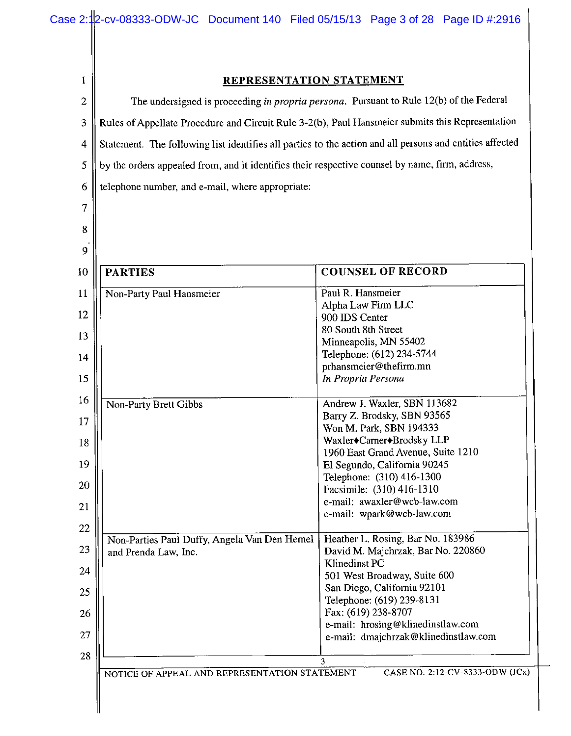$\mathbf{1}$ 

 $\overline{2}$ 

3

 $\overline{4}$ 

5

6

7

### REPRESENTATION STATEMENT The undersigned is proceeding in propria persona. Pursuant to Rule 12(b) of the Federal Rules of Appellate Procedure and Circuit Rule 3-2(b), Paul Hansmeier submits this Representation Statement. The following list identifies all parties to the action and all persons and entities affected by the orders appealed from, and it identifies their respective counsel by name, firm, address, telephone number, and e-mail, where appropriate: 8 9 **COUNSEL OF RECORD PARTIES**  $10$ 11 Non-Party Paul Hansmeier Paul R. Hansmeier Alpha Law Firm LLC 12 900 IDS Center 80 South 8th Street 13 Minneapolis, MN 55402 Telephone: (612) 234-5744 14 prhansmeier@thefirm.mn In Propria Persona 15 16 Andrew J. Waxler, SBN 113682 Non-Party Brett Gibbs Barry Z. Brodsky, SBN 93565 17 Won M. Park, SBN 194333 Waxler<sup>+</sup>Carner<sup>+</sup>Brodsky LLP 18 1960 East Grand Avenue, Suite 1210 19 El Segundo, California 90245 Telephone: (310) 416-1300 20 Facsimile: (310) 416-1310 e-mail: awaxler@wcb-law.com 21 e-mail: wpark@wcb-law.com 22 Heather L. Rosing, Bar No. 183986 Non-Parties Paul Duffy, Angela Van Den Hemel 23 David M. Majchrzak, Bar No. 220860 and Prenda Law, Inc. Klinedinst PC 24 501 West Broadway, Suite 600 San Diego, California 92101 25 Telephone: (619) 239-8131 Fax: (619) 238-8707 26 e-mail: hrosing@klinedinstlaw.com 27 e-mail: dmajchrzak@klinedinstlaw.com 28  $\mathbf{3}$ NOTICE OF APPEAL AND REPRESENTATION STATEMENT

CASE NO. 2:12-CV-8333-ODW (JCx)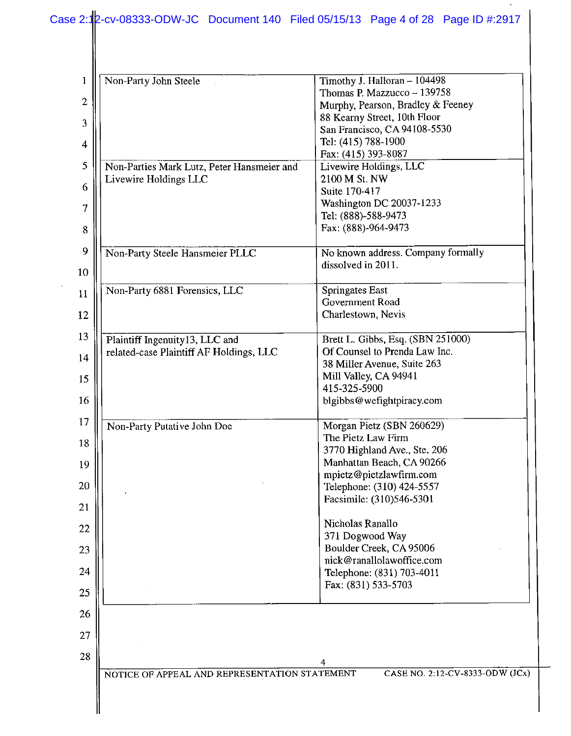### Case 2:12-cv-08333-ODW-JC Document 140 Filed 05/15/13 Page 4 of 28 Page ID #:2917

| $\mathbf{1}$   | Non-Party John Steele                         | Timothy J. Halloran - 104498                                     |
|----------------|-----------------------------------------------|------------------------------------------------------------------|
| $\overline{2}$ |                                               | Thomas P. Mazzucco - 139758<br>Murphy, Pearson, Bradley & Feeney |
|                |                                               | 88 Kearny Street, 10th Floor                                     |
| 3              |                                               | San Francisco, CA 94108-5530                                     |
| 4              |                                               | Tel: (415) 788-1900                                              |
|                |                                               | Fax: (415) 393-8087                                              |
| 5              | Non-Parties Mark Lutz, Peter Hansmeier and    | Livewire Holdings, LLC<br>2100 M St. NW                          |
| 6              | Livewire Holdings LLC                         | Suite 170-417                                                    |
| 7              |                                               | Washington DC 20037-1233                                         |
|                |                                               | Tel: (888)-588-9473                                              |
| 8              |                                               | Fax: (888)-964-9473                                              |
| 9              | Non-Party Steele Hansmeier PLLC               | No known address. Company formally                               |
|                |                                               | dissolved in 2011.                                               |
| 10             |                                               |                                                                  |
| 11             | Non-Party 6881 Forensics, LLC                 | Springates East                                                  |
| 12             |                                               | Government Road<br>Charlestown, Nevis                            |
|                |                                               |                                                                  |
| 13             | Plaintiff Ingenuity13, LLC and                | Brett L. Gibbs, Esq. (SBN 251000)                                |
| 14             | related-case Plaintiff AF Holdings, LLC       | Of Counsel to Prenda Law Inc.                                    |
|                |                                               | 38 Miller Avenue, Suite 263                                      |
| 15             |                                               | Mill Valley, CA 94941<br>415-325-5900                            |
| 16             |                                               | blgibbs@wefightpiracy.com                                        |
|                |                                               |                                                                  |
| 17             | Non-Party Putative John Doe                   | Morgan Pietz (SBN 260629)                                        |
| 18             |                                               | The Pietz Law Firm<br>3770 Highland Ave., Ste. 206               |
| 19             |                                               | Manhattan Beach, CA 90266                                        |
|                |                                               | mpietz@pietzlawfirm.com                                          |
| 20             |                                               | Telephone: (310) 424-5557                                        |
| 21             |                                               | Facsimile: (310)546-5301                                         |
|                |                                               | Nicholas Ranallo                                                 |
| 22             |                                               | 371 Dogwood Way                                                  |
| 23             |                                               | Boulder Creek, CA 95006                                          |
| 24             |                                               | nick@ranallolawoffice.com                                        |
|                |                                               | Telephone: (831) 703-4011<br>Fax: (831) 533-5703                 |
| 25             |                                               |                                                                  |
| 26             |                                               |                                                                  |
|                |                                               |                                                                  |
| 27             |                                               |                                                                  |
| 28             |                                               | 4                                                                |
|                | NOTICE OF APPEAL AND REPRESENTATION STATEMENT | CASE NO. 2:12-CV-8333-ODW (JCx)                                  |
|                |                                               |                                                                  |
|                |                                               |                                                                  |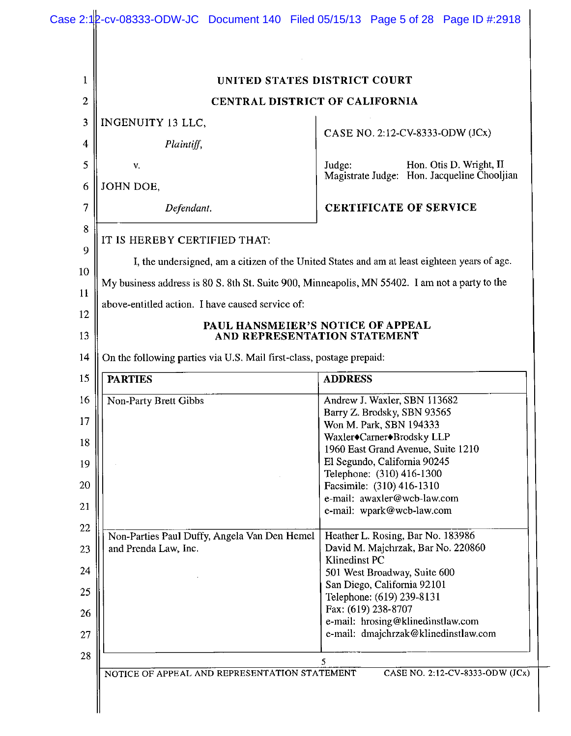| 1                    |                                                                      | UNITED STATES DISTRICT COURT                                                                   |  |
|----------------------|----------------------------------------------------------------------|------------------------------------------------------------------------------------------------|--|
| 2                    |                                                                      | CENTRAL DISTRICT OF CALIFORNIA                                                                 |  |
| 3                    | <b>INGENUITY 13 LLC,</b>                                             |                                                                                                |  |
| 4                    | Plaintiff,                                                           | CASE NO. 2:12-CV-8333-ODW (JCx)                                                                |  |
| 5<br>V.              |                                                                      | Judge:<br>Hon. Otis D. Wright, II                                                              |  |
| JOHN DOE,<br>6       |                                                                      | Magistrate Judge: Hon. Jacqueline Chooljian                                                    |  |
| 7                    | Defendant.                                                           | <b>CERTIFICATE OF SERVICE</b>                                                                  |  |
| 8                    |                                                                      |                                                                                                |  |
| 9                    | IT IS HEREBY CERTIFIED THAT:                                         |                                                                                                |  |
| 10                   |                                                                      | I, the undersigned, am a citizen of the United States and am at least eighteen years of age.   |  |
|                      |                                                                      | My business address is 80 S. 8th St. Suite 900, Minneapolis, MN 55402. I am not a party to the |  |
| 11                   | above-entitled action. I have caused service of:                     |                                                                                                |  |
| 12<br>13             | PAUL HANSMEIER'S NOTICE OF APPEAL<br>AND REPRESENTATION STATEMENT    |                                                                                                |  |
| 14                   | On the following parties via U.S. Mail first-class, postage prepaid: |                                                                                                |  |
| <b>PARTIES</b><br>15 |                                                                      | <b>ADDRESS</b>                                                                                 |  |
| 16                   | Non-Party Brett Gibbs                                                | Andrew J. Waxler, SBN 113682                                                                   |  |
| 17                   |                                                                      | Barry Z. Brodsky, SBN 93565<br>Won M. Park, SBN 194333                                         |  |
|                      |                                                                      | Waxler <sup>+</sup> Carner <sup>+</sup> Brodsky LLP                                            |  |
|                      |                                                                      | 1960 East Grand Avenue, Suite 1210                                                             |  |
| 18                   |                                                                      | El Segundo, California 90245                                                                   |  |
| 19                   |                                                                      |                                                                                                |  |
|                      |                                                                      | Telephone: (310) 416-1300                                                                      |  |
| 20                   |                                                                      | Facsimile: (310) 416-1310                                                                      |  |
| 21                   |                                                                      | e-mail: awaxler@wcb-law.com<br>e-mail: wpark@wcb-law.com                                       |  |
| 22                   | Non-Parties Paul Duffy, Angela Van Den Hemel                         | Heather L. Rosing, Bar No. 183986                                                              |  |
| 23                   | and Prenda Law, Inc.                                                 | David M. Majchrzak, Bar No. 220860                                                             |  |
|                      |                                                                      | Klinedinst PC                                                                                  |  |
| 24                   |                                                                      | 501 West Broadway, Suite 600                                                                   |  |
| 25                   |                                                                      | San Diego, California 92101                                                                    |  |
|                      |                                                                      | Telephone: (619) 239-8131<br>Fax: (619) 238-8707                                               |  |
| 26                   |                                                                      | e-mail: hrosing@klinedinstlaw.com                                                              |  |
| 27                   |                                                                      | e-mail: dmajchrzak@klinedinstlaw.com                                                           |  |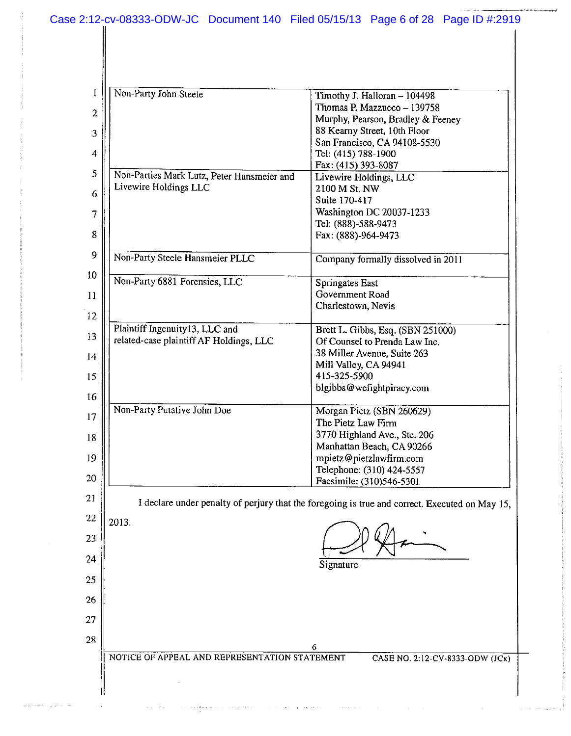| 1                | Non-Party John Steele                                                     | Timothy J. Halloran - 104498                                                                   |
|------------------|---------------------------------------------------------------------------|------------------------------------------------------------------------------------------------|
| $\boldsymbol{2}$ |                                                                           | Thomas P. Mazzucco - 139758                                                                    |
| 3                |                                                                           | Murphy, Pearson, Bradley & Feeney<br>88 Kearny Street, 10th Floor                              |
|                  |                                                                           | San Francisco, CA 94108-5530                                                                   |
| $\overline{4}$   |                                                                           | Tel: (415) 788-1900<br>Fax: (415) 393-8087                                                     |
| 5                | Non-Parties Mark Lutz, Peter Hansmeier and                                | Livewire Holdings, LLC                                                                         |
| 6                | Livewire Holdings LLC                                                     | 2100 M St. NW                                                                                  |
| $\overline{7}$   |                                                                           | Suite 170-417<br>Washington DC 20037-1233                                                      |
|                  |                                                                           | Tel: (888)-588-9473                                                                            |
| 8                |                                                                           | Fax: (888)-964-9473                                                                            |
| 9                | Non-Party Steele Hansmeier PLLC                                           | Company formally dissolved in 2011                                                             |
| 10               | Non-Party 6881 Forensics, LLC                                             | Springates East                                                                                |
| 11               |                                                                           | Government Road<br>Charlestown, Nevis                                                          |
| 12               |                                                                           |                                                                                                |
| 13               | Plaintiff Ingenuity13, LLC and<br>related-case plaintiff AF Holdings, LLC | Brett L. Gibbs, Esq. (SBN 251000)                                                              |
| 14               |                                                                           | Of Counsel to Prenda Law Inc.<br>38 Miller Avenue, Suite 263                                   |
|                  |                                                                           | Mill Valley, CA 94941                                                                          |
| 15               |                                                                           | 415-325-5900<br>blgibbs@wefightpiracy.com                                                      |
| 16               |                                                                           |                                                                                                |
| 17               | Non-Party Putative John Doe                                               | Morgan Pietz (SBN 260629)<br>The Pietz Law Firm                                                |
| 18               |                                                                           | 3770 Highland Ave., Ste. 206                                                                   |
|                  |                                                                           | Manhattan Beach, CA 90266                                                                      |
| 19               |                                                                           | mpietz@pietzlawfirm.com<br>Telephone: (310) 424-5557                                           |
| 20               |                                                                           | Facsimile: (310)546-5301                                                                       |
| 21               |                                                                           | I declare under penalty of perjury that the foregoing is true and correct. Executed on May 15, |
| 22               | 2013.                                                                     |                                                                                                |
| 23               |                                                                           |                                                                                                |
| 24               |                                                                           |                                                                                                |
| 25               |                                                                           | Signature                                                                                      |
|                  |                                                                           |                                                                                                |
| 26               |                                                                           |                                                                                                |
| 27               |                                                                           |                                                                                                |
| 28               |                                                                           | 6                                                                                              |
|                  | NOTICE OF APPEAL AND REPRESENTATION STATEMENT                             | CASE NO. 2:12-CV-8333-ODW (JCx)                                                                |
|                  |                                                                           |                                                                                                |
|                  |                                                                           |                                                                                                |

 $\sim$  ,  $\sim$ 

a contact consider the contact metric  $\mathcal{O}(\mathcal{O}(\log n)$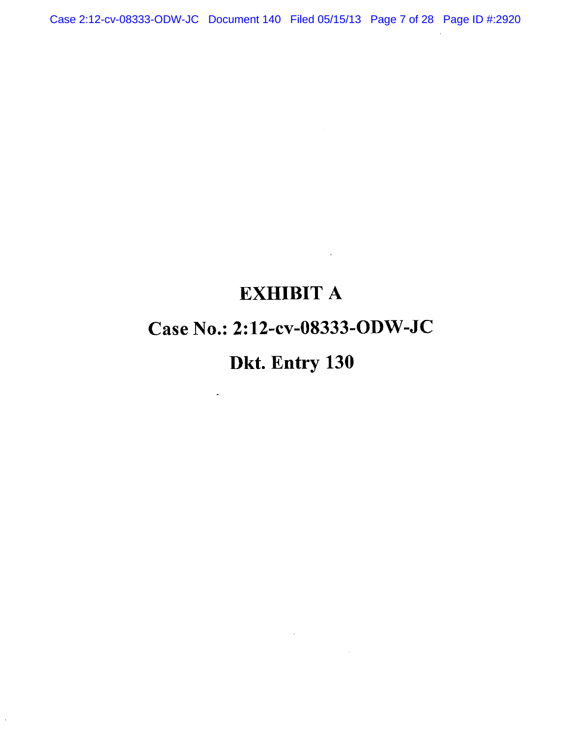Case 2:12-cv-08333-ODW-JC Document 140 Filed 05/15/13 Page 7 of 28 Page ID #:2920

### **EXHIBIT A**

 $\sim 10^{-11}$ 

 $\sim$   $\sim$ 

### Case No.: 2:12-cv-08333-ODW-JC

## Dkt. Entry 130

 $\tilde{\mathcal{A}}$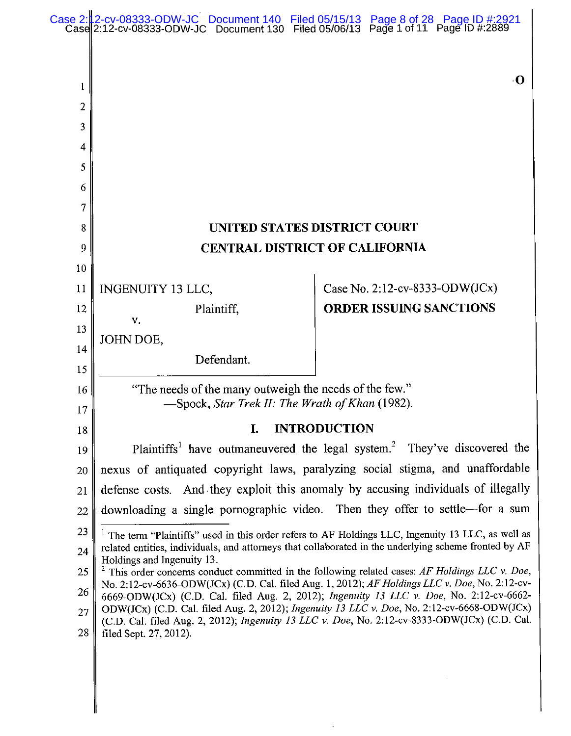|          | Case 2: 2-cv-08333-ODW-JC Document 140 Filed 05/15/13 Page 8 of 28 Page ID #:2921 Case 2:12-cv-08333-ODW-JC Document 130 Filed 05/06/13 Page 1 of 11 Page ID #:2889                                          |  |                                |
|----------|--------------------------------------------------------------------------------------------------------------------------------------------------------------------------------------------------------------|--|--------------------------------|
|          |                                                                                                                                                                                                              |  |                                |
|          |                                                                                                                                                                                                              |  | <b>O</b>                       |
| l<br>2   |                                                                                                                                                                                                              |  |                                |
| 3        |                                                                                                                                                                                                              |  |                                |
| 4        |                                                                                                                                                                                                              |  |                                |
| 5        |                                                                                                                                                                                                              |  |                                |
| 6        |                                                                                                                                                                                                              |  |                                |
| 7        |                                                                                                                                                                                                              |  |                                |
| 8        | <b>UNITED STATES DISTRICT COURT</b>                                                                                                                                                                          |  |                                |
| 9        | <b>CENTRAL DISTRICT OF CALIFORNIA</b>                                                                                                                                                                        |  |                                |
| 10       |                                                                                                                                                                                                              |  |                                |
| 11       | INGENUITY 13 LLC,                                                                                                                                                                                            |  | Case No. 2:12-cv-8333-ODW(JCx) |
| 12       | Plaintiff,<br>V.                                                                                                                                                                                             |  | <b>ORDER ISSUING SANCTIONS</b> |
| 13       | JOHN DOE,                                                                                                                                                                                                    |  |                                |
| 14       | Defendant.                                                                                                                                                                                                   |  |                                |
| 15       |                                                                                                                                                                                                              |  |                                |
| 16<br>17 | "The needs of the many outweigh the needs of the few."<br>-Spock, Star Trek II: The Wrath of Khan (1982).                                                                                                    |  |                                |
| 18       | <b>INTRODUCTION</b><br>I.                                                                                                                                                                                    |  |                                |
| 19       | Plaintiffs <sup>1</sup> have outmaneuvered the legal system. <sup>2</sup> They've discovered the                                                                                                             |  |                                |
| 20       | nexus of antiquated copyright laws, paralyzing social stigma, and unaffordable                                                                                                                               |  |                                |
| 21       | defense costs. And they exploit this anomaly by accusing individuals of illegally                                                                                                                            |  |                                |
| 22       | downloading a single pornographic video. Then they offer to settle-for a sum                                                                                                                                 |  |                                |
| 23       | <sup>1</sup> The term "Plaintiffs" used in this order refers to AF Holdings LLC, Ingenuity 13 LLC, as well as                                                                                                |  |                                |
| 24       | related entities, individuals, and attorneys that collaborated in the underlying scheme fronted by AF<br>Holdings and Ingenuity 13.                                                                          |  |                                |
| 25       | <sup>2</sup> This order concerns conduct committed in the following related cases: AF Holdings LLC v. Doe,<br>No. 2:12-cv-6636-ODW(JCx) (C.D. Cal. filed Aug. 1, 2012); AF Holdings LLC v. Doe, No. 2:12-cv- |  |                                |
| 26       | 6669-ODW(JCx) (C.D. Cal. filed Aug. 2, 2012); Ingenuity 13 LLC v. Doe, No. 2:12-cv-6662-<br>ODW(JCx) (C.D. Cal. filed Aug. 2, 2012); Ingenuity 13 LLC v. Doe, No. 2:12-cv-6668-ODW(JCx)                      |  |                                |
| 27       | (C.D. Cal. filed Aug. 2, 2012); Ingenuity 13 LLC v. Doe, No. 2:12-cv-8333-ODW(JCx) (C.D. Cal.                                                                                                                |  |                                |
| 28       | filed Sept. 27, 2012).                                                                                                                                                                                       |  |                                |
|          |                                                                                                                                                                                                              |  |                                |
|          |                                                                                                                                                                                                              |  |                                |

 $\ddot{\phantom{0}}$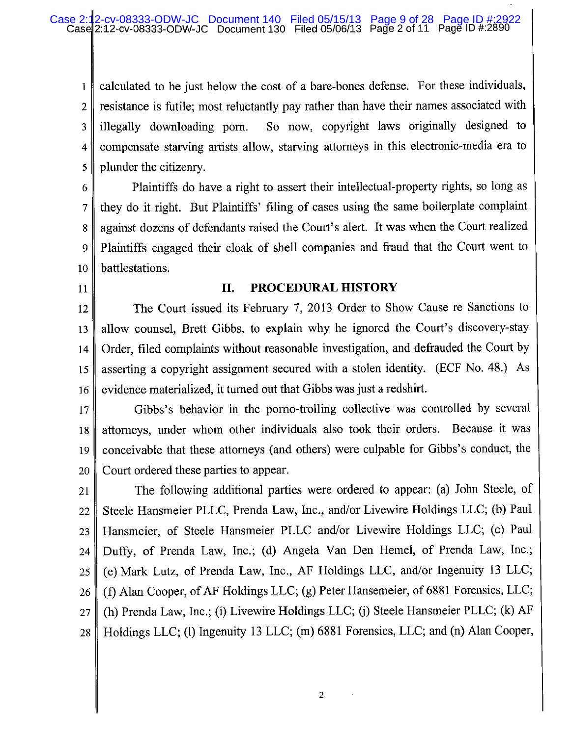calculated to be just below the cost of a bare-bones defense. For these individuals,  $\mathbf{I}$ resistance is futile; most reluctantly pay rather than have their names associated with  $\overline{2}$ illegally downloading porn. So now, copyright laws originally designed to 3 compensate starving artists allow, starving attorneys in this electronic-media era to  $\overline{4}$ plunder the citizenry. 5

Plaintiffs do have a right to assert their intellectual-property rights, so long as 6 they do it right. But Plaintiffs' filing of cases using the same boilerplate complaint 7 against dozens of defendants raised the Court's alert. It was when the Court realized 8 Plaintiffs engaged their cloak of shell companies and fraud that the Court went to 9 battlestations. 10

11

### II. PROCEDURAL HISTORY

The Court issued its February 7, 2013 Order to Show Cause re Sanctions to 12 allow counsel, Brett Gibbs, to explain why he ignored the Court's discovery-stay 13 Order, filed complaints without reasonable investigation, and defrauded the Court by 14 asserting a copyright assignment secured with a stolen identity. (ECF No. 48.) As 15 evidence materialized, it turned out that Gibbs was just a redshirt. 16

Gibbs's behavior in the porno-trolling collective was controlled by several  $17$ attorneys, under whom other individuals also took their orders. Because it was 18 conceivable that these attorneys (and others) were culpable for Gibbs's conduct, the 19 Court ordered these parties to appear. 20

The following additional parties were ordered to appear: (a) John Steele, of 21 Steele Hansmeier PLLC, Prenda Law, Inc., and/or Livewire Holdings LLC; (b) Paul 22 Hansmeier, of Steele Hansmeier PLLC and/or Livewire Holdings LLC; (c) Paul 23 Duffy, of Prenda Law, Inc.; (d) Angela Van Den Hemel, of Prenda Law, Inc.; 24 (e) Mark Lutz, of Prenda Law, Inc., AF Holdings LLC, and/or Ingenuity 13 LLC; 25 (f) Alan Cooper, of AF Holdings LLC; (g) Peter Hansemeier, of 6881 Forensics, LLC; 26 (h) Prenda Law, Inc.; (i) Livewire Holdings LLC; (j) Steele Hansmeier PLLC; (k) AF 27 Holdings LLC; (l) Ingenuity 13 LLC; (m) 6881 Forensics, LLC; and (n) Alan Cooper, 28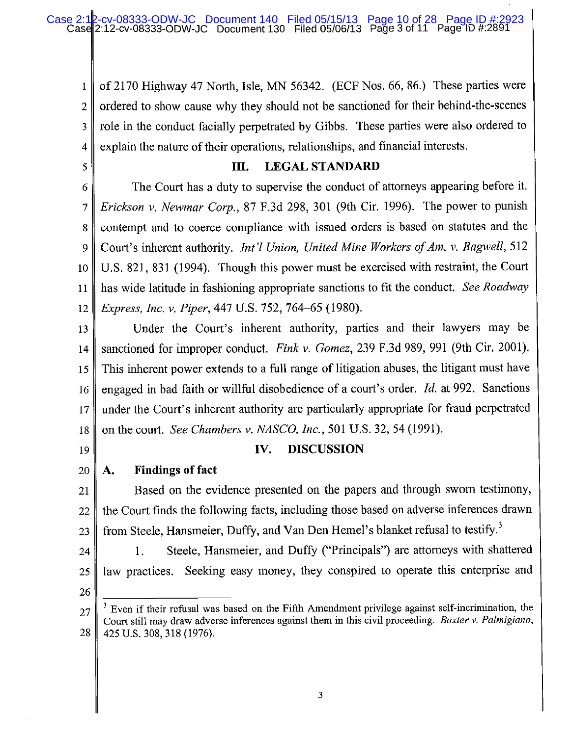of 2170 Highway 47 North, Isle, MN 56342. (ECF Nos. 66, 86.) These parties were  $\mathbf{1}$ ordered to show cause why they should not be sanctioned for their behind-the-scenes  $\overline{2}$ role in the conduct facially perpetrated by Gibbs. These parties were also ordered to 3 explain the nature of their operations, relationships, and financial interests.  $\overline{4}$ 

5

### **LEGAL STANDARD** III.

The Court has a duty to supervise the conduct of attorneys appearing before it. 6 Erickson v. Newmar Corp., 87 F.3d 298, 301 (9th Cir. 1996). The power to punish 7 contempt and to coerce compliance with issued orders is based on statutes and the 8 Court's inherent authority. *Int'l Union, United Mine Workers of Am. v. Bagwell*, 512 9 U.S. 821, 831 (1994). Though this power must be exercised with restraint, the Court 10 has wide latitude in fashioning appropriate sanctions to fit the conduct. See Roadway 11 *Express, Inc. v. Piper, 447 U.S. 752, 764–65 (1980).* 12

Under the Court's inherent authority, parties and their lawyers may be 13 sanctioned for improper conduct. Fink v. Gomez, 239 F.3d 989, 991 (9th Cir. 2001).  $14$ This inherent power extends to a full range of litigation abuses, the litigant must have 15 engaged in bad faith or willful disobedience of a court's order. Id. at 992. Sanctions 16 under the Court's inherent authority are particularly appropriate for fraud perpetrated  $17$ on the court. See Chambers v. NASCO, Inc., 501 U.S. 32, 54 (1991). 18

19

### IV. **DISCUSSION**

**Findings of fact** 20 A.

Based on the evidence presented on the papers and through sworn testimony, 21 the Court finds the following facts, including those based on adverse inferences drawn 22 from Steele, Hansmeier, Duffy, and Van Den Hemel's blanket refusal to testify.<sup>3</sup> 23

Steele, Hansmeier, and Duffy ("Principals") are attorneys with shattered 1. 24 law practices. Seeking easy money, they conspired to operate this enterprise and 25

26

Even if their refusal was based on the Fifth Amendment privilege against self-incrimination, the  $27$ Court still may draw adverse inferences against them in this civil proceeding. Baxter v. Palmigiano, 28 425 U.S. 308, 318 (1976).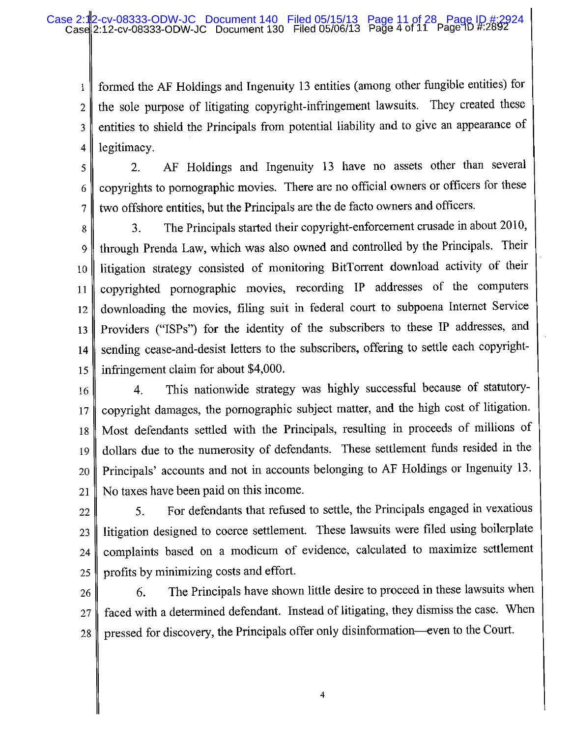formed the AF Holdings and Ingenuity 13 entities (among other fungible entities) for  $\mathbf{1}$ the sole purpose of litigating copyright-infringement lawsuits. They created these  $\overline{2}$ entities to shield the Principals from potential liability and to give an appearance of 3 legitimacy.  $\overline{4}$ 

AF Holdings and Ingenuity 13 have no assets other than several 2. 5 copyrights to pornographic movies. There are no official owners or officers for these 6 two offshore entities, but the Principals are the de facto owners and officers.  $\overline{7}$ 

The Principals started their copyright-enforcement crusade in about 2010, 3. 8 through Prenda Law, which was also owned and controlled by the Principals. Their 9 litigation strategy consisted of monitoring BitTorrent download activity of their 10 copyrighted pornographic movies, recording IP addresses of the computers 11 downloading the movies, filing suit in federal court to subpoena Internet Service 12 Providers ("ISPs") for the identity of the subscribers to these IP addresses, and 13 sending cease-and-desist letters to the subscribers, offering to settle each copyright- $14$ infringement claim for about \$4,000. 15

- This nationwide strategy was highly successful because of statutory- $\overline{4}$ 16 copyright damages, the pornographic subject matter, and the high cost of litigation. 17 Most defendants settled with the Principals, resulting in proceeds of millions of 18 dollars due to the numerosity of defendants. These settlement funds resided in the 19 Principals' accounts and not in accounts belonging to AF Holdings or Ingenuity 13. 20 No taxes have been paid on this income. 21
- For defendants that refused to settle, the Principals engaged in vexatious 5. 22 litigation designed to coerce settlement. These lawsuits were filed using boilerplate 23 complaints based on a modicum of evidence, calculated to maximize settlement 24 profits by minimizing costs and effort. 25
- The Principals have shown little desire to proceed in these lawsuits when 6. 26 faced with a determined defendant. Instead of litigating, they dismiss the case. When 27 pressed for discovery, the Principals offer only disinformation—even to the Court. 28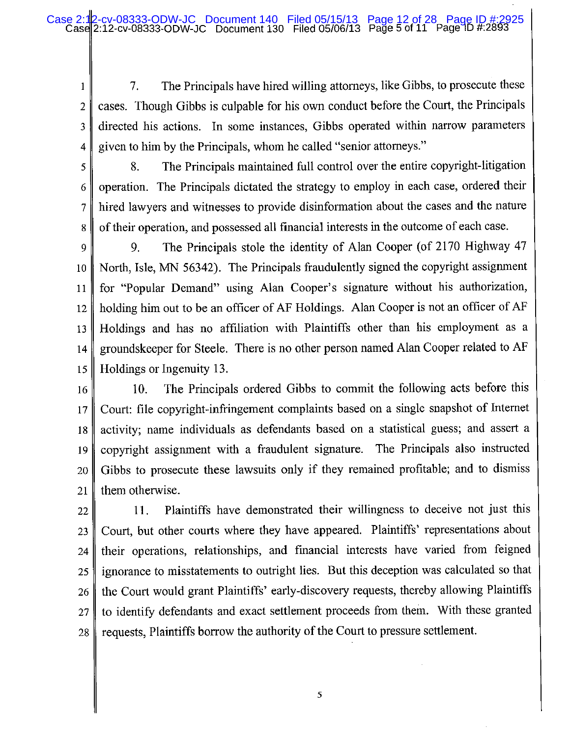7. The Principals have hired willing attorneys, like Gibbs, to prosecute these  $\mathbf{1}$ cases. Though Gibbs is culpable for his own conduct before the Court, the Principals  $\overline{2}$  $\overline{\mathbf{3}}$ directed his actions. In some instances, Gibbs operated within narrow parameters given to him by the Principals, whom he called "senior attorneys." 4

5

6

7

8

The Principals maintained full control over the entire copyright-litigation 8. operation. The Principals dictated the strategy to employ in each case, ordered their hired lawyers and witnesses to provide disinformation about the cases and the nature of their operation, and possessed all financial interests in the outcome of each case.

The Principals stole the identity of Alan Cooper (of 2170 Highway 47 9. 9 North, Isle, MN 56342). The Principals fraudulently signed the copyright assignment 10 for "Popular Demand" using Alan Cooper's signature without his authorization, 11 holding him out to be an officer of AF Holdings. Alan Cooper is not an officer of AF 12 Holdings and has no affiliation with Plaintiffs other than his employment as a 13 groundskeeper for Steele. There is no other person named Alan Cooper related to AF  $14$ Holdings or Ingenuity 13. 15

The Principals ordered Gibbs to commit the following acts before this  $10.$ 16 Court: file copyright-infringement complaints based on a single snapshot of Internet 17 activity; name individuals as defendants based on a statistical guess; and assert a 18 copyright assignment with a fraudulent signature. The Principals also instructed 19 Gibbs to prosecute these lawsuits only if they remained profitable; and to dismiss 20 them otherwise. 21

Plaintiffs have demonstrated their willingness to deceive not just this 11. 22 Court, but other courts where they have appeared. Plaintiffs' representations about 23 their operations, relationships, and financial interests have varied from feigned 24 ignorance to misstatements to outright lies. But this deception was calculated so that 25 the Court would grant Plaintiffs' early-discovery requests, thereby allowing Plaintiffs 26 to identify defendants and exact settlement proceeds from them. With these granted 27 requests. Plaintiffs borrow the authority of the Court to pressure settlement. 28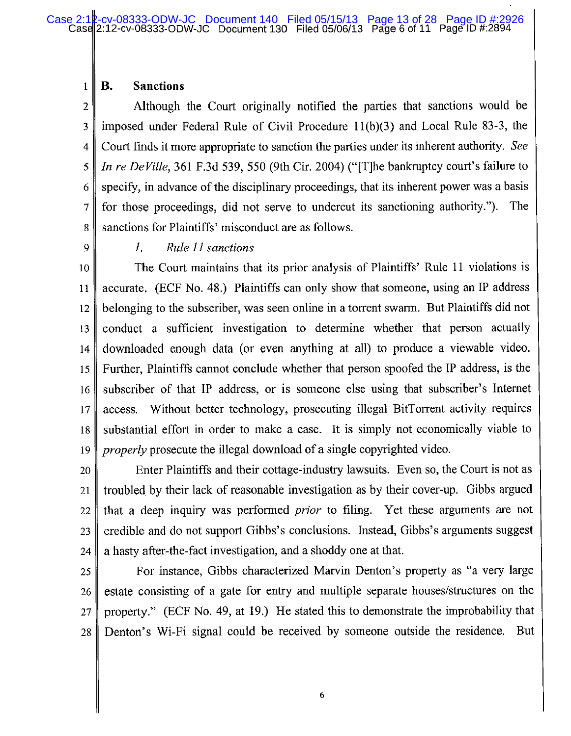#### **Sanctions B.**  $\mathbf{1}$

Although the Court originally notified the parties that sanctions would be  $\overline{2}$  $\overline{\mathbf{3}}$ imposed under Federal Rule of Civil Procedure 11(b)(3) and Local Rule 83-3, the Court finds it more appropriate to sanction the parties under its inherent authority. See 4 *In re DeVille*, 361 F.3d 539, 550 (9th Cir. 2004) ("The bankruptcy court's failure to 5 specify, in advance of the disciplinary proceedings, that its inherent power was a basis 6 for those proceedings, did not serve to undercut its sanctioning authority."). The 7 sanctions for Plaintiffs' misconduct are as follows. 8

9

#### Rule 11 sanctions I.

The Court maintains that its prior analysis of Plaintiffs' Rule 11 violations is 10 accurate. (ECF No. 48.) Plaintiffs can only show that someone, using an IP address 11 belonging to the subscriber, was seen online in a torrent swarm. But Plaintiffs did not 12 conduct a sufficient investigation to determine whether that person actually 13 downloaded enough data (or even anything at all) to produce a viewable video. 14 Further, Plaintiffs cannot conclude whether that person spoofed the IP address, is the 15 subscriber of that IP address, or is someone else using that subscriber's Internet 16 access. Without better technology, prosecuting illegal BitTorrent activity requires  $17$ substantial effort in order to make a case. It is simply not economically viable to 18 *properly* prosecute the illegal download of a single copyrighted video. 19

Enter Plaintiffs and their cottage-industry lawsuits. Even so, the Court is not as 20 troubled by their lack of reasonable investigation as by their cover-up. Gibbs argued 21 that a deep inquiry was performed *prior* to filing. Yet these arguments are not 22 credible and do not support Gibbs's conclusions. Instead, Gibbs's arguments suggest 23 a hasty after-the-fact investigation, and a shoddy one at that. 24

For instance, Gibbs characterized Marvin Denton's property as "a very large 25 estate consisting of a gate for entry and multiple separate houses/structures on the 26 property." (ECF No. 49, at 19.) He stated this to demonstrate the improbability that 27 Denton's Wi-Fi signal could be received by someone outside the residence. But 28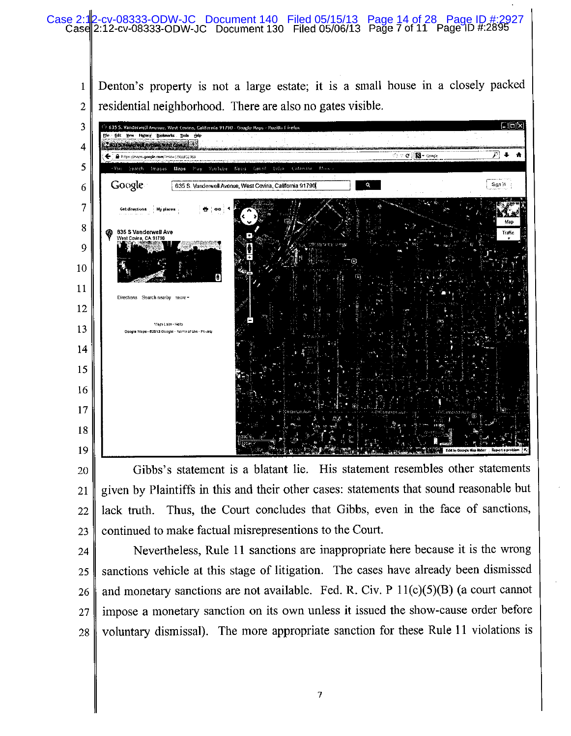

Gibbs's statement is a blatant lie. His statement resembles other statements 20 given by Plaintiffs in this and their other cases: statements that sound reasonable but 21 lack truth. Thus, the Court concludes that Gibbs, even in the face of sanctions, 22 continued to make factual misrepresentions to the Court. 23

Nevertheless, Rule 11 sanctions are inappropriate here because it is the wrong 24 sanctions vehicle at this stage of litigation. The cases have already been dismissed 25 and monetary sanctions are not available. Fed. R. Civ. P  $11(c)(5)(B)$  (a court cannot 26 impose a monetary sanction on its own unless it issued the show-cause order before  $27$ voluntary dismissal). The more appropriate sanction for these Rule 11 violations is 28

 $\overline{7}$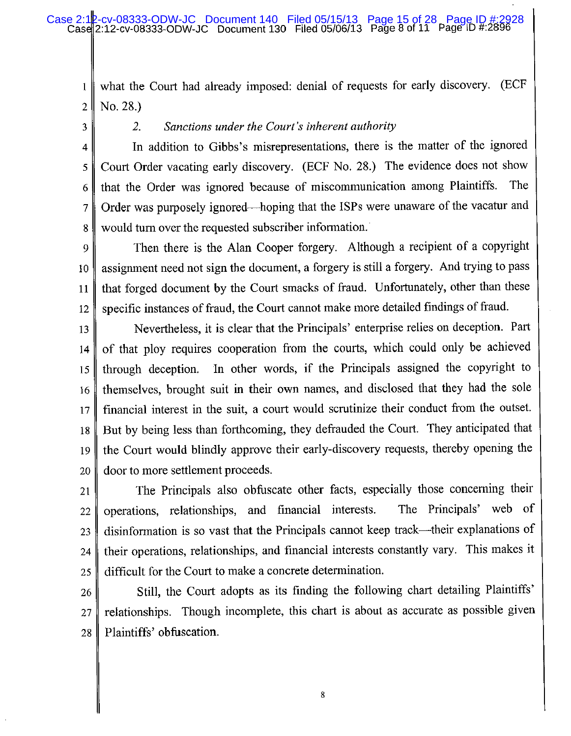### cv-08333-ODW-JC Document 140 Filed 05/15/13 Page 15 of 28 Page ID #:2928<br>12-cv-08333-ODW-JC Document 130 Filed 05/06/13 Page 8 of 11 Page ID #:2896 Case 2:12-cv-08333-ODW-JC

what the Court had already imposed: denial of requests for early discovery. (ECF  $\mathbf{1}$ No. 28.)  $\overline{2}$ 

3

 $2.$ Sanctions under the Court's inherent authority

In addition to Gibbs's misrepresentations, there is the matter of the ignored 4 Court Order vacating early discovery. (ECF No. 28.) The evidence does not show 5 that the Order was ignored because of miscommunication among Plaintiffs. The 6 Order was purposely ignored—hoping that the ISPs were unaware of the vacatur and  $\overline{7}$ would turn over the requested subscriber information.  $8$ 

Then there is the Alan Cooper forgery. Although a recipient of a copyright 9 assignment need not sign the document, a forgery is still a forgery. And trying to pass 10 that forged document by the Court smacks of fraud. Unfortunately, other than these 11 specific instances of fraud, the Court cannot make more detailed findings of fraud. 12

Nevertheless, it is clear that the Principals' enterprise relies on deception. Part 13 of that ploy requires cooperation from the courts, which could only be achieved 14 In other words, if the Principals assigned the copyright to through deception. 15 themselves, brought suit in their own names, and disclosed that they had the sole 16 financial interest in the suit, a court would scrutinize their conduct from the outset. 17 But by being less than forthcoming, they defrauded the Court. They anticipated that 18 the Court would blindly approve their early-discovery requests, thereby opening the 19 door to more settlement proceeds. 20

The Principals also obfuscate other facts, especially those concerning their 21 operations, relationships, and financial interests. The Principals' web of 22 disinformation is so vast that the Principals cannot keep track—their explanations of 23 their operations, relationships, and financial interests constantly vary. This makes it 24 difficult for the Court to make a concrete determination. 25

Still, the Court adopts as its finding the following chart detailing Plaintiffs' 26 relationships. Though incomplete, this chart is about as accurate as possible given  $27$ Plaintiffs' obfuscation. 28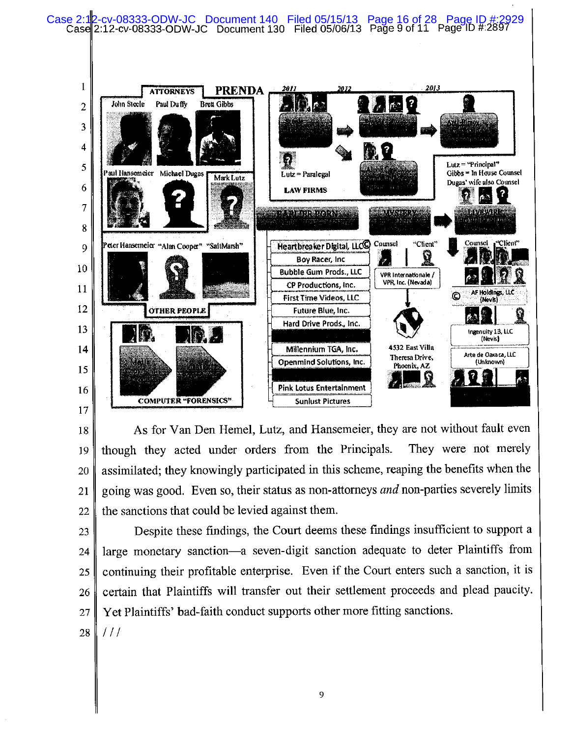

As for Van Den Hemel, Lutz, and Hansemeier, they are not without fault even 18 They were not merely though they acted under orders from the Principals. 19 assimilated; they knowingly participated in this scheme, reaping the benefits when the 20 going was good. Even so, their status as non-attorneys and non-parties severely limits 21 the sanctions that could be levied against them. 22

- Despite these findings, the Court deems these findings insufficient to support a 23 large monetary sanction-a seven-digit sanction adequate to deter Plaintiffs from 24 continuing their profitable enterprise. Even if the Court enters such a sanction, it is 25 certain that Plaintiffs will transfer out their settlement proceeds and plead paucity. 26 Yet Plaintiffs' bad-faith conduct supports other more fitting sanctions. 27
- 28  $111$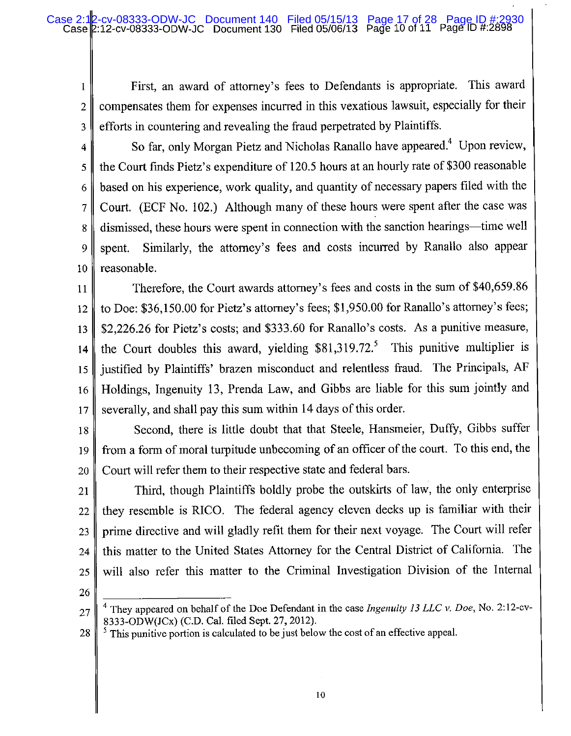First, an award of attorney's fees to Defendants is appropriate. This award  $\mathbf{1}$ compensates them for expenses incurred in this vexatious lawsuit, especially for their  $\overline{2}$ efforts in countering and revealing the fraud perpetrated by Plaintiffs. 3

So far, only Morgan Pietz and Nicholas Ranallo have appeared.<sup>4</sup> Upon review, 4 the Court finds Pietz's expenditure of 120.5 hours at an hourly rate of \$300 reasonable 5 based on his experience, work quality, and quantity of necessary papers filed with the 6 Court. (ECF No. 102.) Although many of these hours were spent after the case was  $\overline{7}$ dismissed, these hours were spent in connection with the sanction hearings—time well 8 Similarly, the attorney's fees and costs incurred by Ranallo also appear 9 spent. reasonable. 10

Therefore, the Court awards attorney's fees and costs in the sum of \$40,659.86 11 to Doe: \$36,150.00 for Pietz's attorney's fees; \$1,950.00 for Ranallo's attorney's fees; 12 \$2,226.26 for Pietz's costs; and \$333.60 for Ranallo's costs. As a punitive measure, 13 the Court doubles this award, yielding  $$81,319.72$ <sup>5</sup> This punitive multiplier is  $14$ justified by Plaintiffs' brazen misconduct and relentless fraud. The Principals, AF 15 Holdings, Ingenuity 13, Prenda Law, and Gibbs are liable for this sum jointly and 16 severally, and shall pay this sum within 14 days of this order.  $17$ 

Second, there is little doubt that that Steele, Hansmeier, Duffy, Gibbs suffer 18 from a form of moral turpitude unbecoming of an officer of the court. To this end, the 19 Court will refer them to their respective state and federal bars. 20

Third, though Plaintiffs boldly probe the outskirts of law, the only enterprise 21 they resemble is RICO. The federal agency eleven decks up is familiar with their 22 prime directive and will gladly refit them for their next voyage. The Court will refer 23 this matter to the United States Attorney for the Central District of California. The 24 will also refer this matter to the Criminal Investigation Division of the Internal 25

26

 $<sup>5</sup>$  This punitive portion is calculated to be just below the cost of an effective appeal.</sup> 28

<sup>&</sup>lt;sup>1</sup> They appeared on behalf of the Doe Defendant in the case *Ingenuity 13 LLC v. Doe*, No. 2:12-cv-27 8333-ODW(JCx) (C.D. Cal. filed Sept. 27, 2012).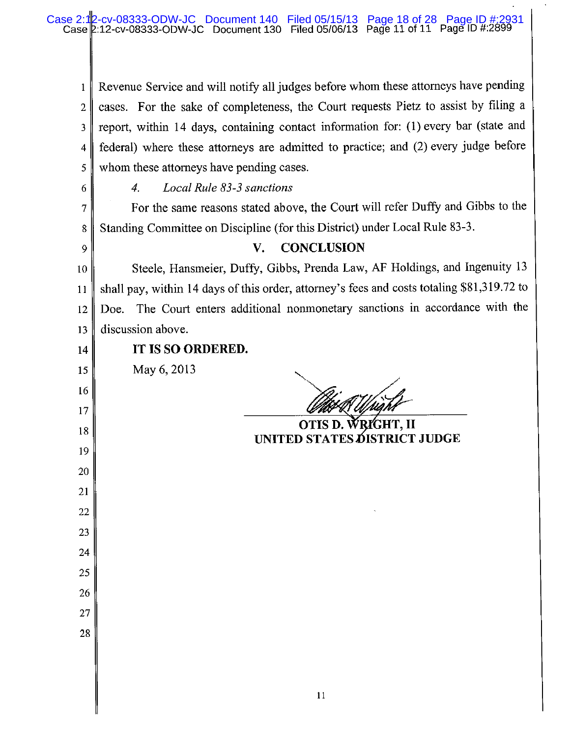Revenue Service and will notify all judges before whom these attorneys have pending  $\mathbf{1}$ cases. For the sake of completeness, the Court requests Pietz to assist by filing a  $\overline{2}$ report, within 14 days, containing contact information for: (1) every bar (state and  $\overline{\mathbf{3}}$ federal) where these attorneys are admitted to practice; and (2) every judge before  $\overline{4}$ whom these attorneys have pending cases. 5

6

9

 $\overline{4}$ . Local Rule 83-3 sanctions

For the same reasons stated above, the Court will refer Duffy and Gibbs to the  $\overline{7}$ Standing Committee on Discipline (for this District) under Local Rule 83-3.  $8\,$ 

### **CONCLUSION** V.

Steele, Hansmeier, Duffy, Gibbs, Prenda Law, AF Holdings, and Ingenuity 13 10 shall pay, within 14 days of this order, attorney's fees and costs totaling \$81,319.72 to 11 Doe. The Court enters additional nonmonetary sanctions in accordance with the  $12$ discussion above. 13

 $14$ 

15

16

17

18

19

20

21

22

23

24

25

26

27

28

IT IS SO ORDERED.

May 6, 2013

OTIS D. WRIGHT, II **UNITED STATES DISTRICT JUDGE**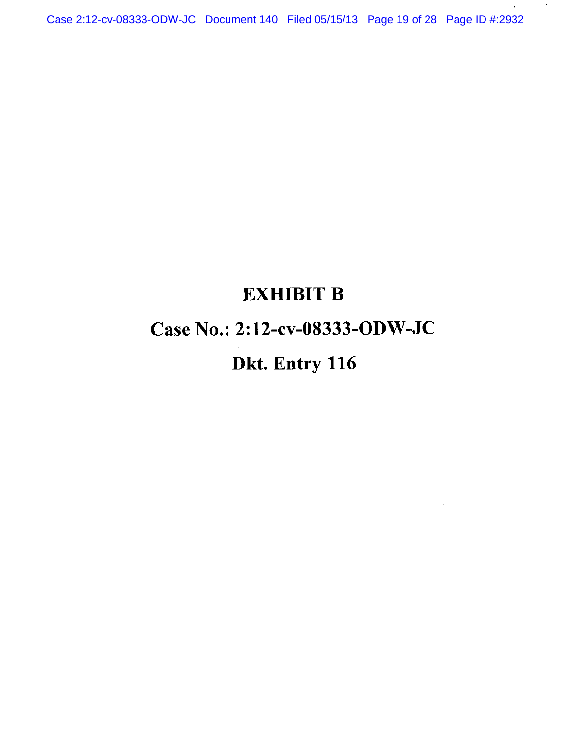Case 2:12-cv-08333-ODW-JC Document 140 Filed 05/15/13 Page 19 of 28 Page ID #:2932

 $\hat{L}$ 

 $\bar{\mathcal{A}}$ 

 $\star$ 

# **EXHIBIT B** Case No.: 2:12-cv-08333-ODW-JC Dkt. Entry 116

 $\sim$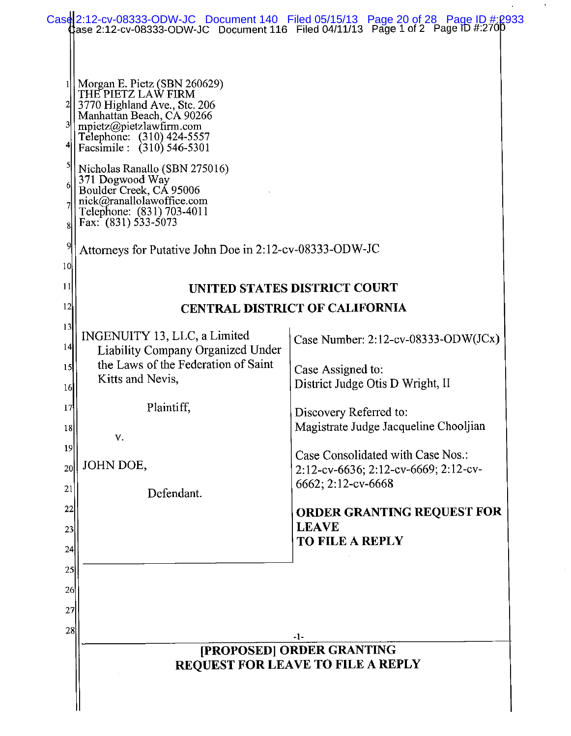|                |                                                                                                                                                                                                                                                                                                                                                                                                                                   | Case 2:12-cv-08333-ODW-JC Document 140 Filed 05/15/13 Page 20 of 28 Page ID #:2933<br>Case 2:12-cv-08333-ODW-JC Document 116 Filed 04/11/13 Page 1 of 2 Page ID #:2700 |
|----------------|-----------------------------------------------------------------------------------------------------------------------------------------------------------------------------------------------------------------------------------------------------------------------------------------------------------------------------------------------------------------------------------------------------------------------------------|------------------------------------------------------------------------------------------------------------------------------------------------------------------------|
| 9<br>10        | Morgan E. Pietz (SBN 260629)<br>THE PIETZ LAW FIRM<br>3770 Highland Ave., Ste. 206<br>Manhattan Beach, CA 90266<br>mpietz@pietzlawfirm.com<br>Telephone: (310) 424-5557<br>Facsimile: (310) 546-5301<br>Nicholas Ranallo (SBN 275016)<br>371 Dogwood Way<br>Boulder Creek, CÁ 95006<br>nick@ranallolawoffice.com<br>Telephone: (831) 703-4011<br>Fax: $(831)$ 533-5073<br>Attorneys for Putative John Doe in 2:12-cv-08333-ODW-JC |                                                                                                                                                                        |
| 11             |                                                                                                                                                                                                                                                                                                                                                                                                                                   | UNITED STATES DISTRICT COURT                                                                                                                                           |
| 12             |                                                                                                                                                                                                                                                                                                                                                                                                                                   | <b>CENTRAL DISTRICT OF CALIFORNIA</b>                                                                                                                                  |
| 13<br>14       | INGENUITY 13, LLC, a Limited<br>Liability Company Organized Under                                                                                                                                                                                                                                                                                                                                                                 | Case Number: $2:12$ -cv-08333-ODW(JCx)                                                                                                                                 |
| 15<br>16       | the Laws of the Federation of Saint<br>Kitts and Nevis,                                                                                                                                                                                                                                                                                                                                                                           | Case Assigned to:<br>District Judge Otis D Wright, II                                                                                                                  |
| 17<br>18       | Plaintiff,<br>V.                                                                                                                                                                                                                                                                                                                                                                                                                  | Discovery Referred to:<br>Magistrate Judge Jacqueline Chooljian                                                                                                        |
| 19<br>20<br>21 | JOHN DOE,                                                                                                                                                                                                                                                                                                                                                                                                                         | Case Consolidated with Case Nos.:<br>2:12-cv-6636; 2:12-cv-6669; 2:12-cv-<br>6662; 2:12-cv-6668                                                                        |
| 22<br>23       | Defendant.                                                                                                                                                                                                                                                                                                                                                                                                                        | ORDER GRANTING REQUEST FOR<br><b>LEAVE</b><br><b>TO FILE A REPLY</b>                                                                                                   |
| 24             |                                                                                                                                                                                                                                                                                                                                                                                                                                   |                                                                                                                                                                        |
| 25             |                                                                                                                                                                                                                                                                                                                                                                                                                                   |                                                                                                                                                                        |
| 26             |                                                                                                                                                                                                                                                                                                                                                                                                                                   |                                                                                                                                                                        |
| 27             |                                                                                                                                                                                                                                                                                                                                                                                                                                   |                                                                                                                                                                        |
| 28             |                                                                                                                                                                                                                                                                                                                                                                                                                                   | -1-                                                                                                                                                                    |
|                |                                                                                                                                                                                                                                                                                                                                                                                                                                   | [PROPOSED] ORDER GRANTING<br><b>REQUEST FOR LEAVE TO FILE A REPLY</b>                                                                                                  |
|                |                                                                                                                                                                                                                                                                                                                                                                                                                                   |                                                                                                                                                                        |

 $\hat{\mathcal{A}}$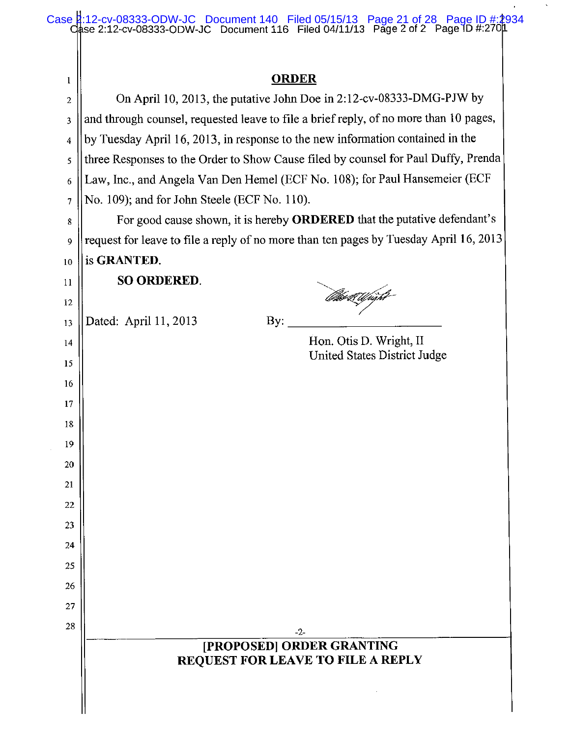|                  | Case 4:12-cv-08333-ODW-JC Document 140 Filed 05/15/13 Page 21 of 28 Page ID #:2934<br>Case 2:12-cv-08333-ODW-JC Document 116 Filed 04/11/13 Page 2 of 2 Page 1D #:2704 |
|------------------|------------------------------------------------------------------------------------------------------------------------------------------------------------------------|
|                  |                                                                                                                                                                        |
| $\mathbf{1}$     | <b>ORDER</b>                                                                                                                                                           |
| $\boldsymbol{2}$ | On April 10, 2013, the putative John Doe in 2:12-cv-08333-DMG-PJW by                                                                                                   |
| 3                | and through counsel, requested leave to file a brief reply, of no more than 10 pages,                                                                                  |
| 4                | by Tuesday April 16, 2013, in response to the new information contained in the                                                                                         |
| 5                | three Responses to the Order to Show Cause filed by counsel for Paul Duffy, Prenda                                                                                     |
| 6                | Law, Inc., and Angela Van Den Hemel (ECF No. 108); for Paul Hansemeier (ECF                                                                                            |
| 7                | No. 109); and for John Steele (ECF No. 110).                                                                                                                           |
| 8                | For good cause shown, it is hereby ORDERED that the putative defendant's                                                                                               |
| 9                | request for leave to file a reply of no more than ten pages by Tuesday April 16, 2013                                                                                  |
| 10               | is GRANTED.                                                                                                                                                            |
| 11               | <b>SO ORDERED.</b>                                                                                                                                                     |
| 12               | iseti Ufright                                                                                                                                                          |
| 13               | Dated: April 11, 2013<br>By:                                                                                                                                           |
| 14               | Hon. Otis D. Wright, II                                                                                                                                                |
| 15               | United States District Judge                                                                                                                                           |
| 16               |                                                                                                                                                                        |
| 17               |                                                                                                                                                                        |
| 18               |                                                                                                                                                                        |
| 19               |                                                                                                                                                                        |
| 20               |                                                                                                                                                                        |
| 21               |                                                                                                                                                                        |
| 22               |                                                                                                                                                                        |
| 23               |                                                                                                                                                                        |
| 24               |                                                                                                                                                                        |
| 25               |                                                                                                                                                                        |
| 26               |                                                                                                                                                                        |
| 27               |                                                                                                                                                                        |
| 28               | $-2-$                                                                                                                                                                  |
|                  | [PROPOSED] ORDER GRANTING<br>REQUEST FOR LEAVE TO FILE A REPLY                                                                                                         |
|                  |                                                                                                                                                                        |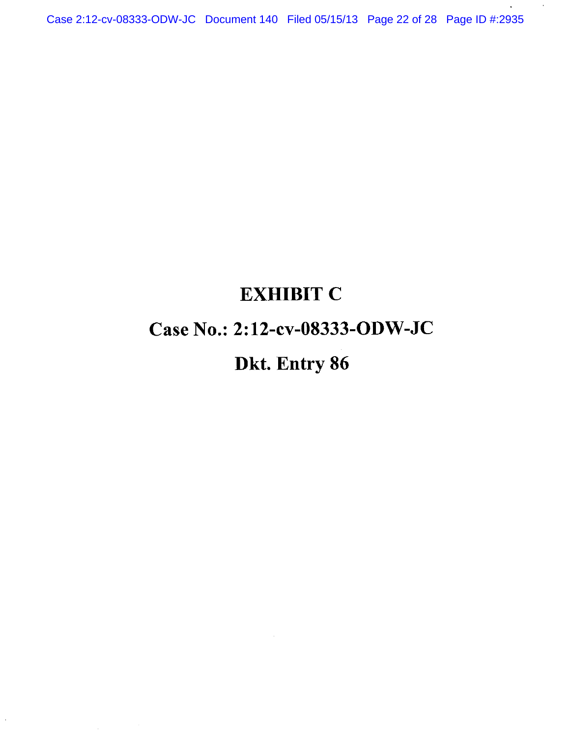Case 2:12-cv-08333-ODW-JC Document 140 Filed 05/15/13 Page 22 of 28 Page ID #:2935

 $\alpha$ 

## **EXHIBIT C**

### Case No.: 2:12-cv-08333-ODW-JC

## Dkt. Entry 86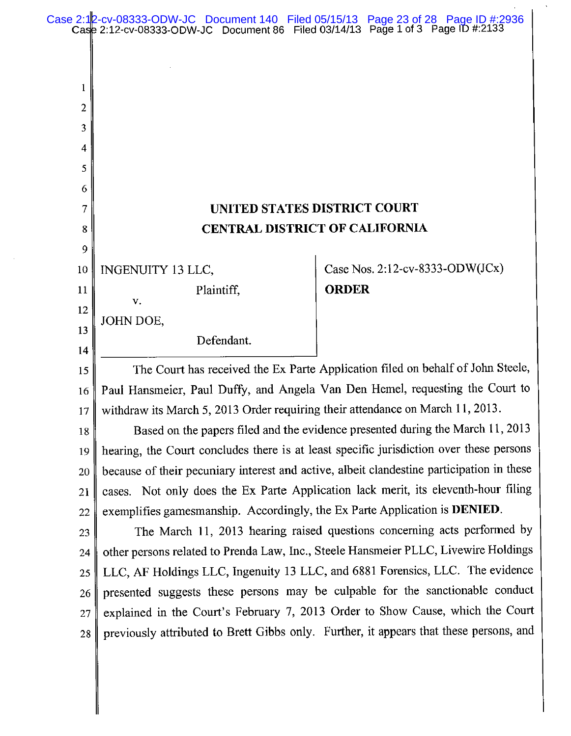|              | Case 2:12-cv-08333-ODW-JC Document 140 Filed 05/15/13 Page 23 of 28 Page ID #:2936<br>Case 2:12-cv-08333-ODW-JC Document 86 Filed 03/14/13 Page 1 of 3 Page ID #:2133     |                                                                                           |  |  |
|--------------|---------------------------------------------------------------------------------------------------------------------------------------------------------------------------|-------------------------------------------------------------------------------------------|--|--|
|              |                                                                                                                                                                           |                                                                                           |  |  |
|              |                                                                                                                                                                           |                                                                                           |  |  |
| $\mathbf{1}$ |                                                                                                                                                                           |                                                                                           |  |  |
| 2            |                                                                                                                                                                           |                                                                                           |  |  |
| 3            |                                                                                                                                                                           |                                                                                           |  |  |
| 4            |                                                                                                                                                                           |                                                                                           |  |  |
| 5            |                                                                                                                                                                           |                                                                                           |  |  |
| 6            |                                                                                                                                                                           |                                                                                           |  |  |
| 7            | UNITED STATES DISTRICT COURT                                                                                                                                              |                                                                                           |  |  |
| 8            |                                                                                                                                                                           | <b>CENTRAL DISTRICT OF CALIFORNIA</b>                                                     |  |  |
| 9            |                                                                                                                                                                           |                                                                                           |  |  |
| 10           | INGENUITY 13 LLC,                                                                                                                                                         | Case Nos. $2:12$ -cv-8333-ODW(JCx)                                                        |  |  |
| 11           | Plaintiff,<br>V.                                                                                                                                                          | <b>ORDER</b>                                                                              |  |  |
| 12           | JOHN DOE,                                                                                                                                                                 |                                                                                           |  |  |
| 13           | Defendant.                                                                                                                                                                |                                                                                           |  |  |
| 14           |                                                                                                                                                                           |                                                                                           |  |  |
| 15           | The Court has received the Ex Parte Application filed on behalf of John Steele,                                                                                           |                                                                                           |  |  |
| 16           | Paul Hansmeier, Paul Duffy, and Angela Van Den Hemel, requesting the Court to                                                                                             |                                                                                           |  |  |
| 17           | withdraw its March 5, 2013 Order requiring their attendance on March 11, 2013.                                                                                            |                                                                                           |  |  |
| 18           | Based on the papers filed and the evidence presented during the March 11, 2013<br>hearing, the Court concludes there is at least specific jurisdiction over these persons |                                                                                           |  |  |
| 19           |                                                                                                                                                                           | because of their pecuniary interest and active, albeit clandestine participation in these |  |  |
| 20<br>21     |                                                                                                                                                                           |                                                                                           |  |  |
| 22           | cases. Not only does the Ex Parte Application lack merit, its eleventh-hour filing<br>exemplifies gamesmanship. Accordingly, the Ex Parte Application is DENIED.          |                                                                                           |  |  |
| 23           | The March 11, 2013 hearing raised questions concerning acts performed by                                                                                                  |                                                                                           |  |  |
| 24           |                                                                                                                                                                           | other persons related to Prenda Law, Inc., Steele Hansmeier PLLC, Livewire Holdings       |  |  |
| 25           | LLC, AF Holdings LLC, Ingenuity 13 LLC, and 6881 Forensics, LLC. The evidence                                                                                             |                                                                                           |  |  |
| 26           | presented suggests these persons may be culpable for the sanctionable conduct                                                                                             |                                                                                           |  |  |
| 27           |                                                                                                                                                                           | explained in the Court's February 7, 2013 Order to Show Cause, which the Court            |  |  |
| 28           |                                                                                                                                                                           | previously attributed to Brett Gibbs only. Further, it appears that these persons, and    |  |  |
|              |                                                                                                                                                                           |                                                                                           |  |  |
|              |                                                                                                                                                                           |                                                                                           |  |  |
|              |                                                                                                                                                                           |                                                                                           |  |  |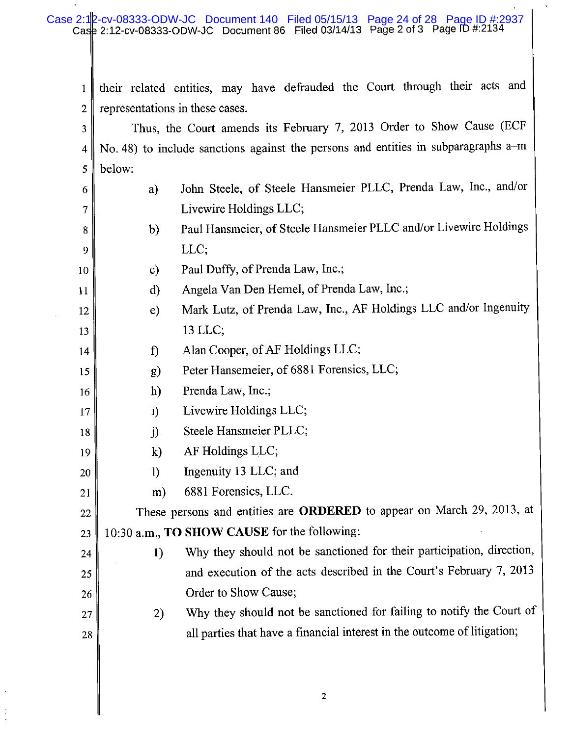their related entities, may have defrauded the Court through their acts and  $\mathbf{1}$ representations in these cases.  $\overline{2}$ Thus, the Court amends its February 7, 2013 Order to Show Cause (ECF  $\overline{3}$ No. 48) to include sanctions against the persons and entities in subparagraphs a-m 4 below: 5 John Steele, of Steele Hansmeier PLLC, Prenda Law, Inc., and/or a) 6 Livewire Holdings LLC: 7 Paul Hansmeier, of Steele Hansmeier PLLC and/or Livewire Holdings b) 8 LLC; 9 Paul Duffy, of Prenda Law, Inc.;  $\mathbf{c}$ 10 Angela Van Den Hemel, of Prenda Law, Inc.;  $\mathbf{d}$ 11 Mark Lutz, of Prenda Law, Inc., AF Holdings LLC and/or Ingenuity  $\epsilon$ ) 12 13 LLC; 13 Alan Cooper, of AF Holdings LLC;  $\mathbf{f}$ 14 Peter Hansemeier, of 6881 Forensics, LLC; 15  $\mathbf{g}$ Prenda Law, Inc.;  $h)$ 16 Livewire Holdings LLC; 17  $i)$ Steele Hansmeier PLLC;  $\ddot{\mathbf{i}}$ 18 AF Holdings LLC;  $\mathbf{k}$ 19 Ingenuity 13 LLC; and  $\left| \right|$ 20 6881 Forensics, LLC. 21  $m)$ These persons and entities are ORDERED to appear on March 29, 2013, at 22 10:30 a.m., **TO SHOW CAUSE** for the following: 23 Why they should not be sanctioned for their participation, direction, 1) 24 and execution of the acts described in the Court's February 7, 2013 25 Order to Show Cause; 26 Why they should not be sanctioned for failing to notify the Court of 2) 27 all parties that have a financial interest in the outcome of litigation; 28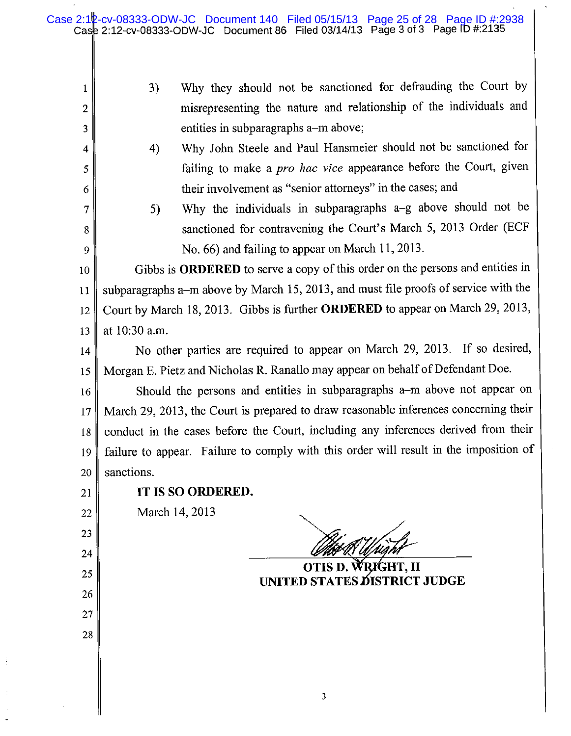- Why they should not be sanctioned for defrauding the Court by  $3)$ misrepresenting the nature and relationship of the individuals and entities in subparagraphs a–m above;
- Why John Steele and Paul Hansmeier should not be sanctioned for  $4)$ failing to make a *pro hac vice* appearance before the Court, given their involvement as "senior attorneys" in the cases; and
	- Why the individuals in subparagraphs a-g above should not be 5) sanctioned for contravening the Court's March 5, 2013 Order (ECF No. 66) and failing to appear on March 11, 2013.

Gibbs is ORDERED to serve a copy of this order on the persons and entities in 10 subparagraphs a-m above by March 15, 2013, and must file proofs of service with the  $11$ Court by March 18, 2013. Gibbs is further ORDERED to appear on March 29, 2013, 12 at 10:30 a.m. 13

No other parties are required to appear on March 29, 2013. If so desired, 14 Morgan E. Pietz and Nicholas R. Ranallo may appear on behalf of Defendant Doe. 15

Should the persons and entities in subparagraphs a-m above not appear on 16 March 29, 2013, the Court is prepared to draw reasonable inferences concerning their 17 conduct in the cases before the Court, including any inferences derived from their 18 failure to appear. Failure to comply with this order will result in the imposition of 19 sanctions. 20

21

22

23

24

25

26

27

28

 $\mathbf{1}$ 

 $\overline{2}$ 

3

 $\overline{\mathbf{4}}$ 

5

6

 $\overline{7}$ 

8

9

### IT IS SO ORDERED.

March 14, 2013

**UNITED STATES DISTRICT JUDGE**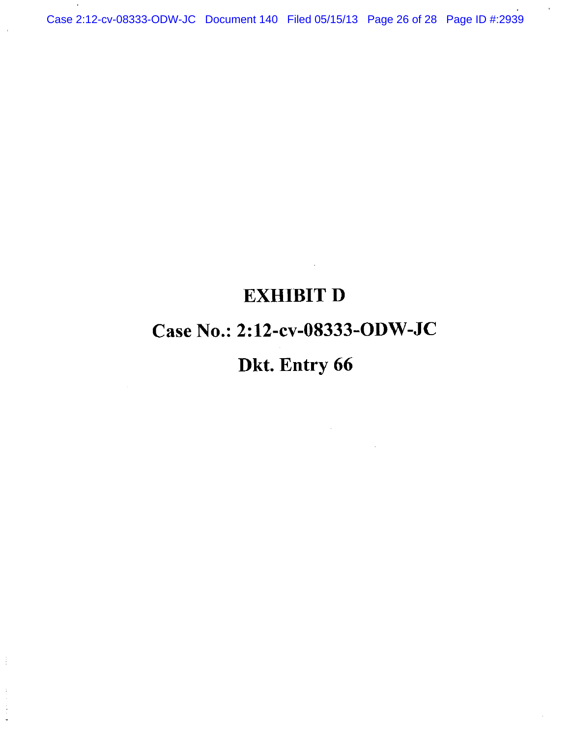Case 2:12-cv-08333-ODW-JC Document 140 Filed 05/15/13 Page 26 of 28 Page ID #:2939

## **EXHIBIT D**

## Case No.: 2:12-cv-08333-ODW-JC

## Dkt. Entry 66

 $\frac{1}{2}$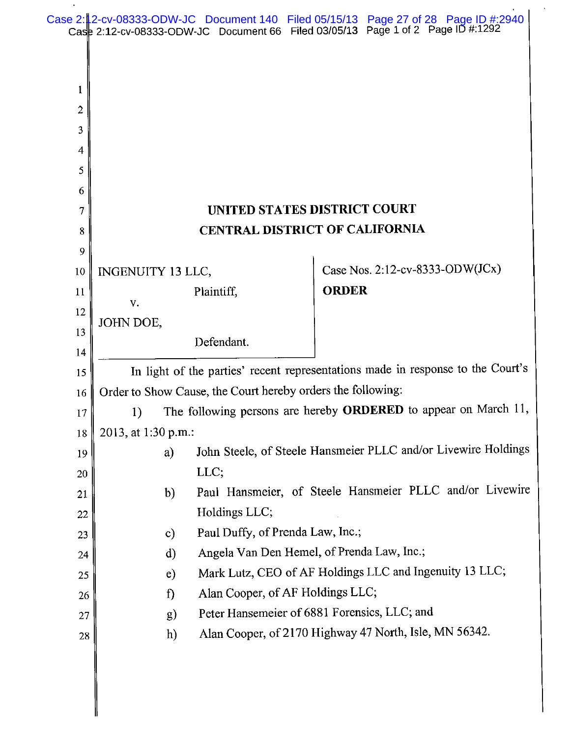|          |                                                                                                                                                |                                  | Case 2: 2-cv-08333-ODW-JC Document 140 Filed 05/15/13 Page 27 of 28 Page ID #:2940<br>Case 2:12-cv-08333-ODW-JC Document 66 Filed 03/05/13 Page 1 of 2 Page ID #:1292 |
|----------|------------------------------------------------------------------------------------------------------------------------------------------------|----------------------------------|-----------------------------------------------------------------------------------------------------------------------------------------------------------------------|
|          |                                                                                                                                                |                                  |                                                                                                                                                                       |
|          |                                                                                                                                                |                                  |                                                                                                                                                                       |
| 1        |                                                                                                                                                |                                  |                                                                                                                                                                       |
| 2        |                                                                                                                                                |                                  |                                                                                                                                                                       |
| 3        |                                                                                                                                                |                                  |                                                                                                                                                                       |
| 4        |                                                                                                                                                |                                  |                                                                                                                                                                       |
| 5        |                                                                                                                                                |                                  |                                                                                                                                                                       |
| 6        |                                                                                                                                                |                                  |                                                                                                                                                                       |
| 7        |                                                                                                                                                |                                  | UNITED STATES DISTRICT COURT                                                                                                                                          |
| 8        |                                                                                                                                                |                                  | <b>CENTRAL DISTRICT OF CALIFORNIA</b>                                                                                                                                 |
| 9        |                                                                                                                                                |                                  |                                                                                                                                                                       |
| 10       | <b>INGENUITY 13 LLC,</b>                                                                                                                       |                                  | Case Nos. 2:12-cv-8333-ODW(JCx)                                                                                                                                       |
| 11       | V.                                                                                                                                             | Plaintiff,                       | <b>ORDER</b>                                                                                                                                                          |
| 12       | JOHN DOE,                                                                                                                                      |                                  |                                                                                                                                                                       |
| 13       |                                                                                                                                                | Defendant.                       |                                                                                                                                                                       |
| 14       |                                                                                                                                                |                                  |                                                                                                                                                                       |
| 15       | In light of the parties' recent representations made in response to the Court's<br>Order to Show Cause, the Court hereby orders the following: |                                  |                                                                                                                                                                       |
| 16       |                                                                                                                                                |                                  |                                                                                                                                                                       |
| 17<br>18 | The following persons are hereby ORDERED to appear on March 11,<br>1)<br>2013, at 1:30 p.m.:                                                   |                                  |                                                                                                                                                                       |
| 19       | a)                                                                                                                                             |                                  | John Steele, of Steele Hansmeier PLLC and/or Livewire Holdings                                                                                                        |
| 20       | LLC;                                                                                                                                           |                                  |                                                                                                                                                                       |
| 21       | Paul Hansmeier, of Steele Hansmeier PLLC and/or Livewire<br>b)                                                                                 |                                  |                                                                                                                                                                       |
| 22       | Holdings LLC;                                                                                                                                  |                                  |                                                                                                                                                                       |
| 23       | Paul Duffy, of Prenda Law, Inc.;<br>$\mathbf{c}$                                                                                               |                                  |                                                                                                                                                                       |
| 24       | Angela Van Den Hemel, of Prenda Law, Inc.;<br>d)                                                                                               |                                  |                                                                                                                                                                       |
| 25       | Mark Lutz, CEO of AF Holdings LLC and Ingenuity 13 LLC;<br>e)                                                                                  |                                  |                                                                                                                                                                       |
| 26       | $\mathbf{f}$                                                                                                                                   | Alan Cooper, of AF Holdings LLC; |                                                                                                                                                                       |
| 27       | g)                                                                                                                                             |                                  | Peter Hansemeier of 6881 Forensics, LLC; and                                                                                                                          |
| 28       | h)                                                                                                                                             |                                  | Alan Cooper, of 2170 Highway 47 North, Isle, MN 56342.                                                                                                                |
|          |                                                                                                                                                |                                  |                                                                                                                                                                       |

 $\mathcal{A}$